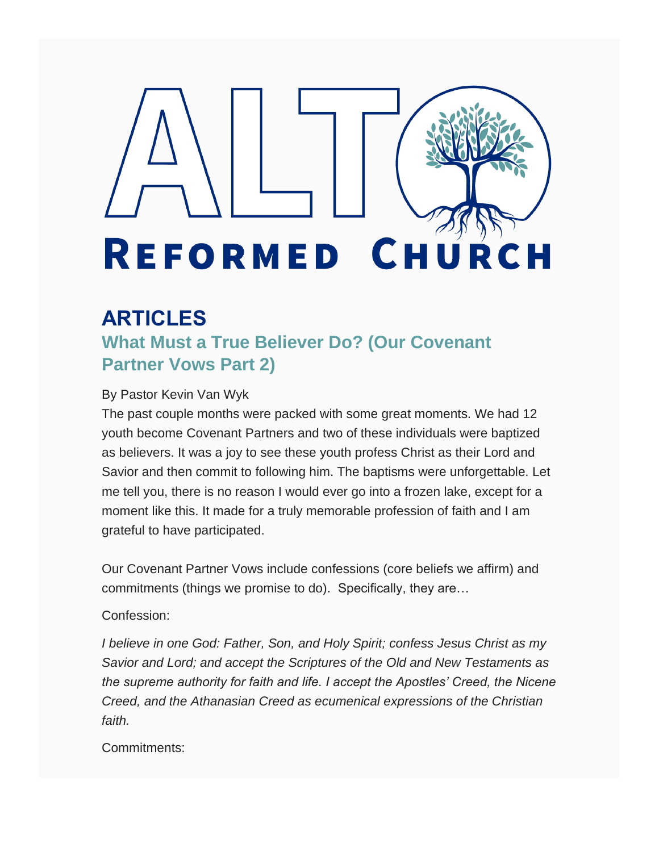# REFORMED **CH** URCH

## **ARTICLES**

**What Must a True Believer Do? (Our Covenant Partner Vows Part 2)**

#### By Pastor Kevin Van Wyk

The past couple months were packed with some great moments. We had 12 youth become Covenant Partners and two of these individuals were baptized as believers. It was a joy to see these youth profess Christ as their Lord and Savior and then commit to following him. The baptisms were unforgettable. Let me tell you, there is no reason I would ever go into a frozen lake, except for a moment like this. It made for a truly memorable profession of faith and I am grateful to have participated.

Our Covenant Partner Vows include confessions (core beliefs we affirm) and commitments (things we promise to do). Specifically, they are…

#### Confession:

*I believe in one God: Father, Son, and Holy Spirit; confess Jesus Christ as my Savior and Lord; and accept the Scriptures of the Old and New Testaments as the supreme authority for faith and life. I accept the Apostles' Creed, the Nicene Creed, and the Athanasian Creed as ecumenical expressions of the Christian faith.*

Commitments: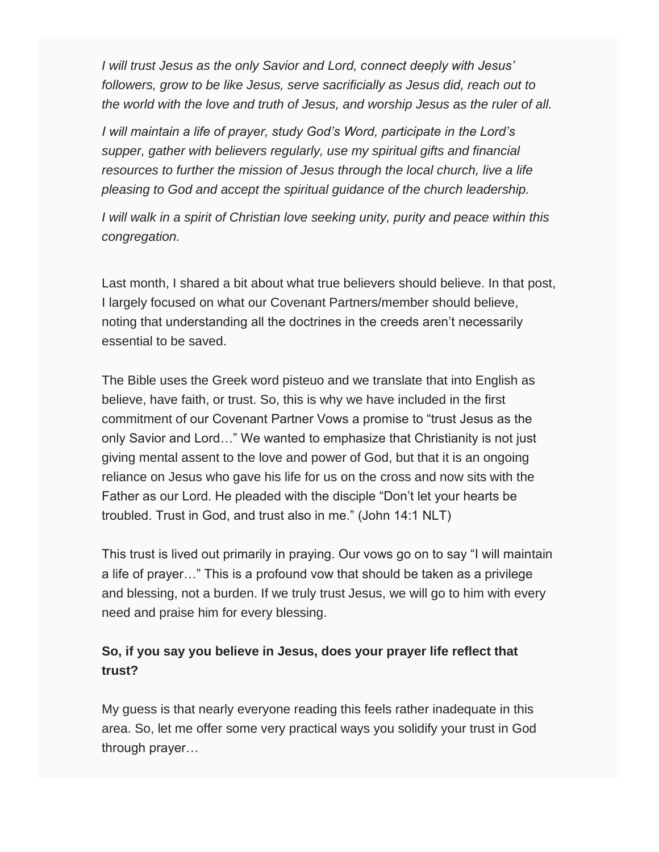*I will trust Jesus as the only Savior and Lord, connect deeply with Jesus' followers, grow to be like Jesus, serve sacrificially as Jesus did, reach out to the world with the love and truth of Jesus, and worship Jesus as the ruler of all.*

*I will maintain a life of prayer, study God's Word, participate in the Lord's supper, gather with believers regularly, use my spiritual gifts and financial resources to further the mission of Jesus through the local church, live a life pleasing to God and accept the spiritual guidance of the church leadership.*

*I will walk in a spirit of Christian love seeking unity, purity and peace within this congregation.*

Last month, I shared a bit about what true believers should believe. In that post, I largely focused on what our Covenant Partners/member should believe, noting that understanding all the doctrines in the creeds aren't necessarily essential to be saved.

The Bible uses the Greek word pisteuo and we translate that into English as believe, have faith, or trust. So, this is why we have included in the first commitment of our Covenant Partner Vows a promise to "trust Jesus as the only Savior and Lord…" We wanted to emphasize that Christianity is not just giving mental assent to the love and power of God, but that it is an ongoing reliance on Jesus who gave his life for us on the cross and now sits with the Father as our Lord. He pleaded with the disciple "Don't let your hearts be troubled. Trust in God, and trust also in me." (John 14:1 NLT)

This trust is lived out primarily in praying. Our vows go on to say "I will maintain a life of prayer…" This is a profound vow that should be taken as a privilege and blessing, not a burden. If we truly trust Jesus, we will go to him with every need and praise him for every blessing.

### **So, if you say you believe in Jesus, does your prayer life reflect that trust?**

My guess is that nearly everyone reading this feels rather inadequate in this area. So, let me offer some very practical ways you solidify your trust in God through prayer…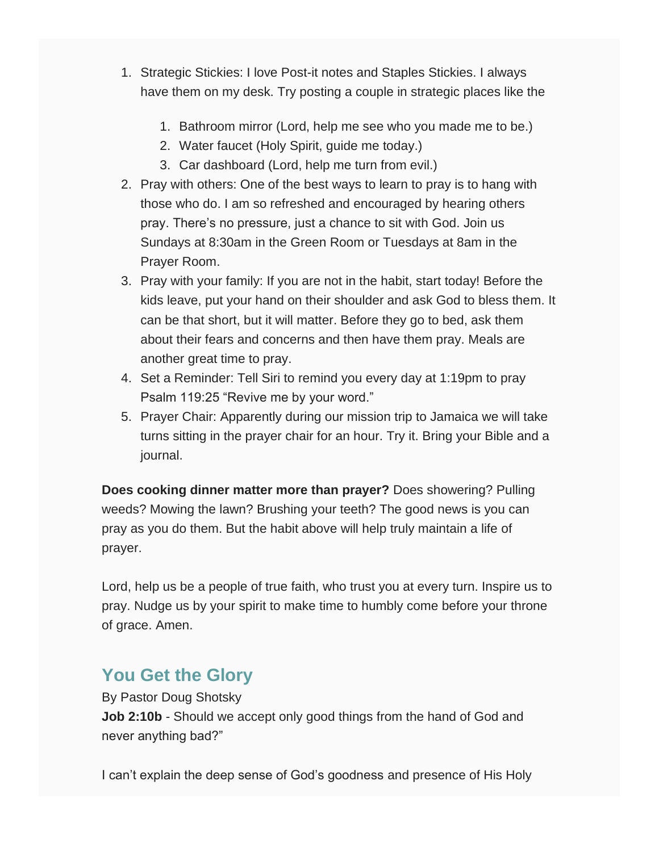- 1. Strategic Stickies: I love Post-it notes and Staples Stickies. I always have them on my desk. Try posting a couple in strategic places like the
	- 1. Bathroom mirror (Lord, help me see who you made me to be.)
	- 2. Water faucet (Holy Spirit, guide me today.)
	- 3. Car dashboard (Lord, help me turn from evil.)
- 2. Pray with others: One of the best ways to learn to pray is to hang with those who do. I am so refreshed and encouraged by hearing others pray. There's no pressure, just a chance to sit with God. Join us Sundays at 8:30am in the Green Room or Tuesdays at 8am in the Prayer Room.
- 3. Pray with your family: If you are not in the habit, start today! Before the kids leave, put your hand on their shoulder and ask God to bless them. It can be that short, but it will matter. Before they go to bed, ask them about their fears and concerns and then have them pray. Meals are another great time to pray.
- 4. Set a Reminder: Tell Siri to remind you every day at 1:19pm to pray Psalm 119:25 "Revive me by your word."
- 5. Prayer Chair: Apparently during our mission trip to Jamaica we will take turns sitting in the prayer chair for an hour. Try it. Bring your Bible and a journal.

**Does cooking dinner matter more than prayer?** Does showering? Pulling weeds? Mowing the lawn? Brushing your teeth? The good news is you can pray as you do them. But the habit above will help truly maintain a life of prayer.

Lord, help us be a people of true faith, who trust you at every turn. Inspire us to pray. Nudge us by your spirit to make time to humbly come before your throne of grace. Amen.

## **You Get the Glory**

By Pastor Doug Shotsky **Job 2:10b** - Should we accept only good things from the hand of God and never anything bad?"

I can't explain the deep sense of God's goodness and presence of His Holy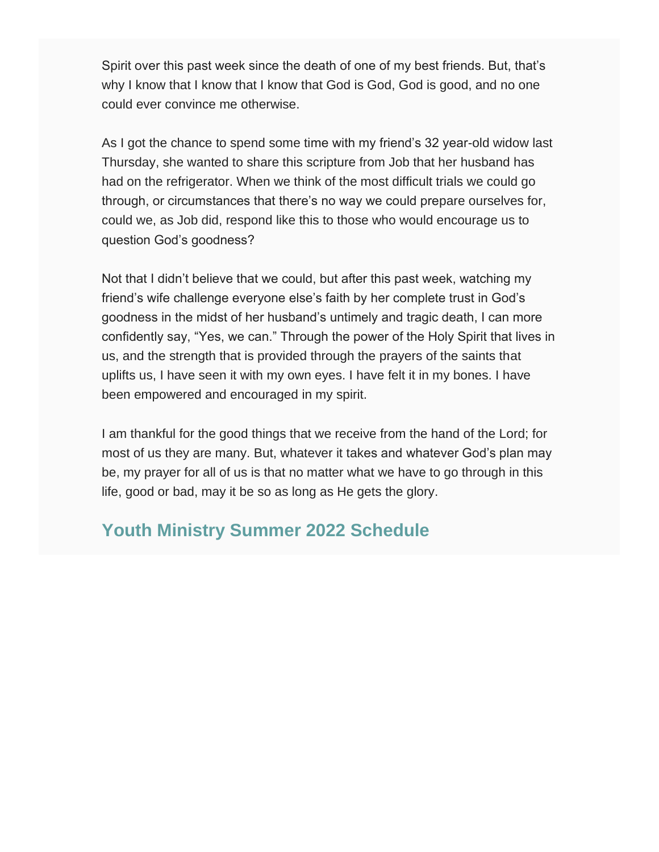Spirit over this past week since the death of one of my best friends. But, that's why I know that I know that I know that God is God, God is good, and no one could ever convince me otherwise.

As I got the chance to spend some time with my friend's 32 year-old widow last Thursday, she wanted to share this scripture from Job that her husband has had on the refrigerator. When we think of the most difficult trials we could go through, or circumstances that there's no way we could prepare ourselves for, could we, as Job did, respond like this to those who would encourage us to question God's goodness?

Not that I didn't believe that we could, but after this past week, watching my friend's wife challenge everyone else's faith by her complete trust in God's goodness in the midst of her husband's untimely and tragic death, I can more confidently say, "Yes, we can." Through the power of the Holy Spirit that lives in us, and the strength that is provided through the prayers of the saints that uplifts us, I have seen it with my own eyes. I have felt it in my bones. I have been empowered and encouraged in my spirit.

I am thankful for the good things that we receive from the hand of the Lord; for most of us they are many. But, whatever it takes and whatever God's plan may be, my prayer for all of us is that no matter what we have to go through in this life, good or bad, may it be so as long as He gets the glory.

### **Youth Ministry Summer 2022 Schedule**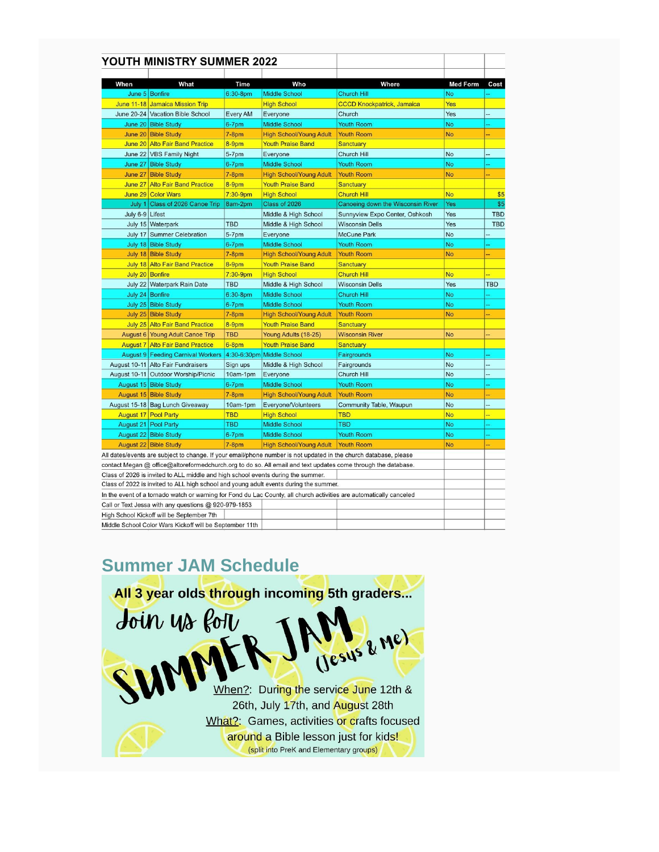|                                                                                                                                                                                                                                   | YOUTH MINISTRY SUMMER 2022                                                            |                 |                                    |                                                                                                                     |                 |            |
|-----------------------------------------------------------------------------------------------------------------------------------------------------------------------------------------------------------------------------------|---------------------------------------------------------------------------------------|-----------------|------------------------------------|---------------------------------------------------------------------------------------------------------------------|-----------------|------------|
| When                                                                                                                                                                                                                              | What                                                                                  | <b>Time</b>     | Who                                | Where                                                                                                               | <b>Med Form</b> | Cost       |
|                                                                                                                                                                                                                                   | June 5 Bonfire                                                                        | 6:30-8pm        | <b>Middle School</b>               | Church Hill                                                                                                         | No              |            |
|                                                                                                                                                                                                                                   | June 11-18 Jamaica Mission Trip                                                       |                 | <b>High School</b>                 | <b>CCCD Knockpatrick, Jamaica</b>                                                                                   | Yes             |            |
|                                                                                                                                                                                                                                   | June 20-24 Vacation Bible School                                                      | <b>Every AM</b> | Everyone                           | Church                                                                                                              | Yes             | ÷          |
|                                                                                                                                                                                                                                   | June 20 Bible Study                                                                   | $6-7$ pm        | <b>Middle School</b>               | <b>Youth Room</b>                                                                                                   | <b>No</b>       |            |
|                                                                                                                                                                                                                                   | June 20 Bible Study                                                                   | $7-8pm$         | <b>High School/Young Adult</b>     | <b>Youth Room</b>                                                                                                   | <b>No</b>       | ш,         |
|                                                                                                                                                                                                                                   | June 20 Alto Fair Band Practice                                                       | 8-9pm           | <b>Youth Praise Band</b>           | <b>Sanctuary</b>                                                                                                    |                 |            |
|                                                                                                                                                                                                                                   | June 22 VBS Family Night                                                              | $5-7$ pm        | Everyone                           | Church Hill                                                                                                         | No              |            |
|                                                                                                                                                                                                                                   | June 27 Bible Study                                                                   | $6-7$ pm        | <b>Middle School</b>               | <b>Youth Room</b>                                                                                                   | <b>No</b>       |            |
|                                                                                                                                                                                                                                   | June 27 Bible Study                                                                   | $7-8pm$         | <b>High School/Young Adult</b>     | <b>Youth Room</b>                                                                                                   | <b>No</b>       |            |
|                                                                                                                                                                                                                                   | June 27 Alto Fair Band Practice                                                       | 8-9pm           | <b>Youth Praise Band</b>           | <b>Sanctuary</b>                                                                                                    |                 |            |
|                                                                                                                                                                                                                                   | June 29 Color Wars                                                                    | $7:30-9$ pm     | <b>High School</b>                 | <b>Church Hill</b>                                                                                                  | <b>No</b>       |            |
| July 1                                                                                                                                                                                                                            | Class of 2026 Canoe Trip                                                              | 8am-2pm         | Class of 2026                      | Canoeing down the Wisconsin River                                                                                   | Yes             |            |
| July 6-9 Lifest                                                                                                                                                                                                                   |                                                                                       |                 | Middle & High School               | Sunnyview Expo Center, Oshkosh                                                                                      | Yes             | <b>TBD</b> |
|                                                                                                                                                                                                                                   | July 15 Waterpark                                                                     | <b>TBD</b>      | Middle & High School               | <b>Wisconsin Dells</b>                                                                                              | Yes             | <b>TBD</b> |
|                                                                                                                                                                                                                                   | July 17 Summer Celebration                                                            | $5-7$ pm        | Everyone                           | <b>McCune Park</b>                                                                                                  | No              |            |
|                                                                                                                                                                                                                                   | July 18 Bible Study                                                                   | 6-7pm           | <b>Middle School</b>               | <b>Youth Room</b>                                                                                                   | <b>No</b>       |            |
|                                                                                                                                                                                                                                   | July 18 Bible Study                                                                   | $7-8$ pm        | <b>High School/Young Adult</b>     | <b>Youth Room</b>                                                                                                   | <b>No</b>       |            |
|                                                                                                                                                                                                                                   | July 18 Alto Fair Band Practice                                                       | 8-9pm           | <b>Youth Praise Band</b>           | <b>Sanctuary</b>                                                                                                    |                 |            |
|                                                                                                                                                                                                                                   | July 20 Bonfire                                                                       | $7:30-9$ pm     | <b>High School</b>                 | <b>Church Hill</b>                                                                                                  | <b>No</b>       |            |
|                                                                                                                                                                                                                                   | July 22 Waterpark Rain Date                                                           | <b>TBD</b>      | Middle & High School               | <b>Wisconsin Dells</b>                                                                                              | Yes             | <b>TBD</b> |
|                                                                                                                                                                                                                                   | July 24 Bonfire                                                                       | 6:30-8pm        | <b>Middle School</b>               | <b>Church Hill</b>                                                                                                  | <b>No</b>       |            |
|                                                                                                                                                                                                                                   | July 25 Bible Study                                                                   | $6 - 7$ pm      | <b>Middle School</b>               | <b>Youth Room</b>                                                                                                   | <b>No</b>       |            |
|                                                                                                                                                                                                                                   | July 25 Bible Study                                                                   | $7-8pm$         | <b>High School/Young Adult</b>     | <b>Youth Room</b>                                                                                                   | <b>No</b>       |            |
|                                                                                                                                                                                                                                   | July 25 Alto Fair Band Practice                                                       | 8-9pm           | <b>Youth Praise Band</b>           | <b>Sanctuary</b>                                                                                                    |                 |            |
|                                                                                                                                                                                                                                   | August 6 Young Adult Canoe Trip                                                       | <b>TBD</b>      | Young Adults (18-25)               | <b>Wisconsin River</b>                                                                                              | <b>No</b>       |            |
|                                                                                                                                                                                                                                   | <b>August 7 Alto Fair Band Practice</b>                                               | $6-8$ pm        | <b>Youth Praise Band</b>           | <b>Sanctuary</b>                                                                                                    |                 |            |
|                                                                                                                                                                                                                                   | <b>August 9 Feeding Carnival Workers</b>                                              |                 | 4:30-6:30pm Middle School          | Fairgrounds                                                                                                         | No              |            |
|                                                                                                                                                                                                                                   | August 10-11 Alto Fair Fundraisers                                                    | Sign ups        | Middle & High School               | Fairgrounds                                                                                                         | <b>No</b>       |            |
|                                                                                                                                                                                                                                   | August 10-11 Outdoor Worship/Picnic                                                   | 10am-1pm        | Everyone                           | Church Hill                                                                                                         | No              |            |
|                                                                                                                                                                                                                                   | August 15 Bible Study                                                                 | 6-7pm           | <b>Middle School</b>               | <b>Youth Room</b>                                                                                                   | <b>No</b>       |            |
|                                                                                                                                                                                                                                   | August 15 Bible Study                                                                 | $7-8pm$         | <b>High School/Young Adult</b>     | <b>Youth Room</b>                                                                                                   | <b>No</b>       |            |
|                                                                                                                                                                                                                                   | August 15-18 Bag Lunch Giveaway                                                       | 10am-1pm        | Everyone/Volunteers                | Community Table, Waupun                                                                                             | No              |            |
|                                                                                                                                                                                                                                   | <b>August 17 Pool Party</b>                                                           | <b>TBD</b>      | <b>High School</b>                 | <b>TBD</b>                                                                                                          | <b>No</b>       |            |
|                                                                                                                                                                                                                                   | August 21   Pool Party                                                                | TBD             | <b>Middle School</b>               | TBD                                                                                                                 | <b>No</b>       |            |
|                                                                                                                                                                                                                                   | August 22 Bible Study                                                                 | $6-7$ pm        | <b>Middle School</b>               | <b>Youth Room</b>                                                                                                   | <b>No</b>       |            |
|                                                                                                                                                                                                                                   | August 22 Bible Study                                                                 | $7-8pm$         | High School/Young Adult Youth Room |                                                                                                                     | <b>No</b>       | ä,         |
|                                                                                                                                                                                                                                   |                                                                                       |                 |                                    |                                                                                                                     |                 |            |
| All dates/events are subject to change. If your email/phone number is not updated in the church database, please<br>contact Megan @ office@altoreformedchurch.org to do so. All email and text updates come through the database. |                                                                                       |                 |                                    |                                                                                                                     |                 |            |
| Class of 2026 is invited to ALL middle and high school events during the summer.                                                                                                                                                  |                                                                                       |                 |                                    |                                                                                                                     |                 |            |
|                                                                                                                                                                                                                                   | Class of 2022 is invited to ALL high school and young adult events during the summer. |                 |                                    |                                                                                                                     |                 |            |
|                                                                                                                                                                                                                                   |                                                                                       |                 |                                    | In the event of a tornado watch or warning for Fond du Lac County, all church activities are automatically canceled |                 |            |
|                                                                                                                                                                                                                                   | Call or Text Jessa with any questions @ 920-979-1853                                  |                 |                                    |                                                                                                                     |                 |            |
|                                                                                                                                                                                                                                   | High School Kickoff will be September 7th                                             |                 |                                    |                                                                                                                     |                 |            |
|                                                                                                                                                                                                                                   | Middle School Color Wars Kickoff will be September 11th                               |                 |                                    |                                                                                                                     |                 |            |

### **Summer JAM Schedule**

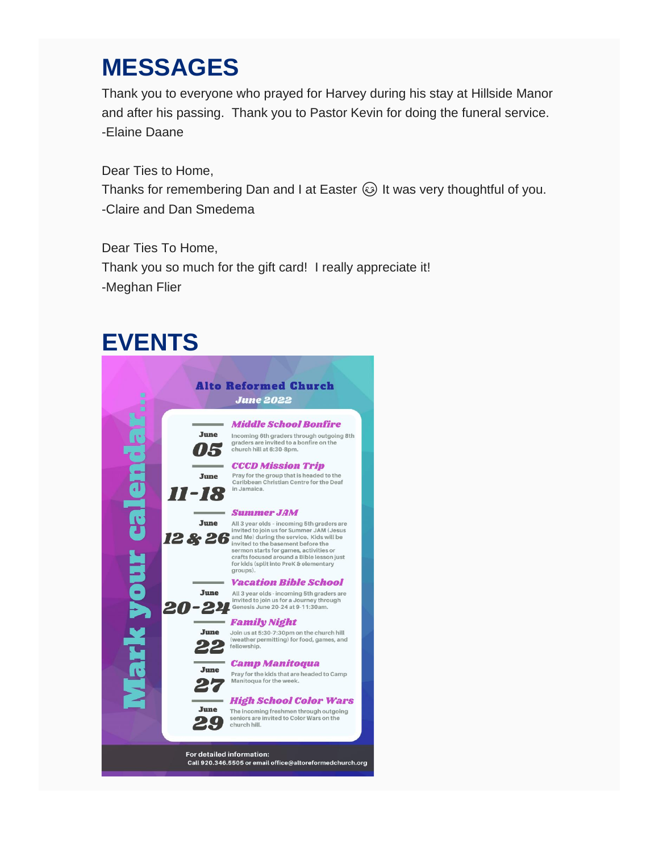## **MESSAGES**

Thank you to everyone who prayed for Harvey during his stay at Hillside Manor and after his passing. Thank you to Pastor Kevin for doing the funeral service. -Elaine Daane

Dear Ties to Home, Thanks for remembering Dan and I at Easter  $\odot$  It was very thoughtful of you. -Claire and Dan Smedema

Dear Ties To Home, Thank you so much for the gift card! I really appreciate it! -Meghan Flier

## **EVENTS**